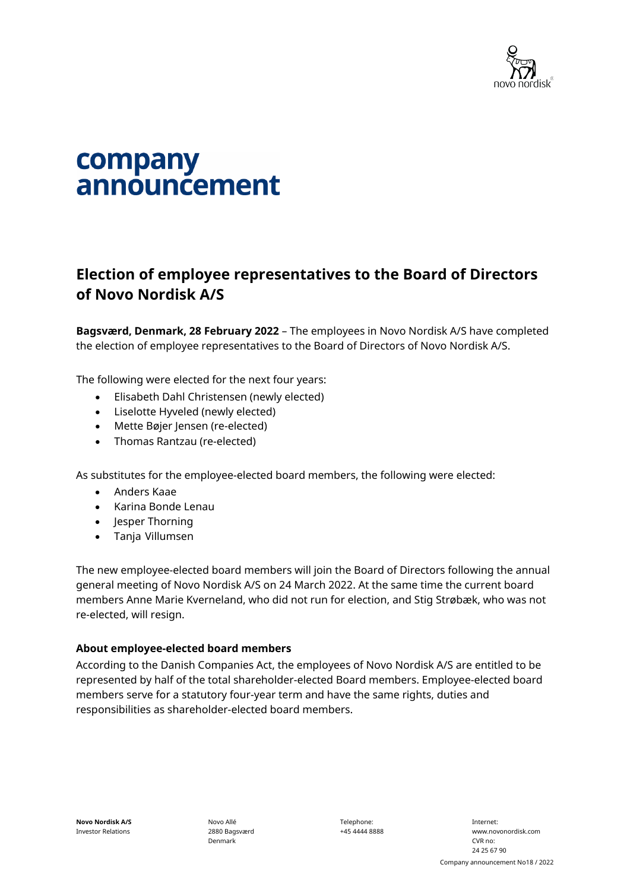

## company announcement

## **Election of employee representatives to the Board of Directors of Novo Nordisk A/S**

**Bagsværd, Denmark, 28 February 2022** – The employees in Novo Nordisk A/S have completed the election of employee representatives to the Board of Directors of Novo Nordisk A/S.

The following were elected for the next four years:

- Elisabeth Dahl Christensen (newly elected)
- Liselotte Hyveled (newly elected)
- Mette Bøjer Jensen (re-elected)
- Thomas Rantzau (re-elected)

As substitutes for the employee-elected board members, the following were elected:

- Anders Kaae
- Karina Bonde Lenau
- Jesper Thorning
- Tanja Villumsen

The new employee-elected board members will join the Board of Directors following the annual general meeting of Novo Nordisk A/S on 24 March 2022. At the same time the current board members Anne Marie Kverneland, who did not run for election, and Stig Strøbæk, who was not re-elected, will resign.

## **About employee-elected board members**

According to the Danish Companies Act, the employees of Novo Nordisk A/S are entitled to be represented by half of the total shareholder-elected Board members. Employee-elected board members serve for a statutory four-year term and have the same rights, duties and responsibilities as shareholder-elected board members.

Novo Allé 2880 Bagsværd Denmark

Telephone: +45 4444 8888

Internet: www.novonordisk.com CVR no: 24 25 67 90 Company announcement No18 / 2022